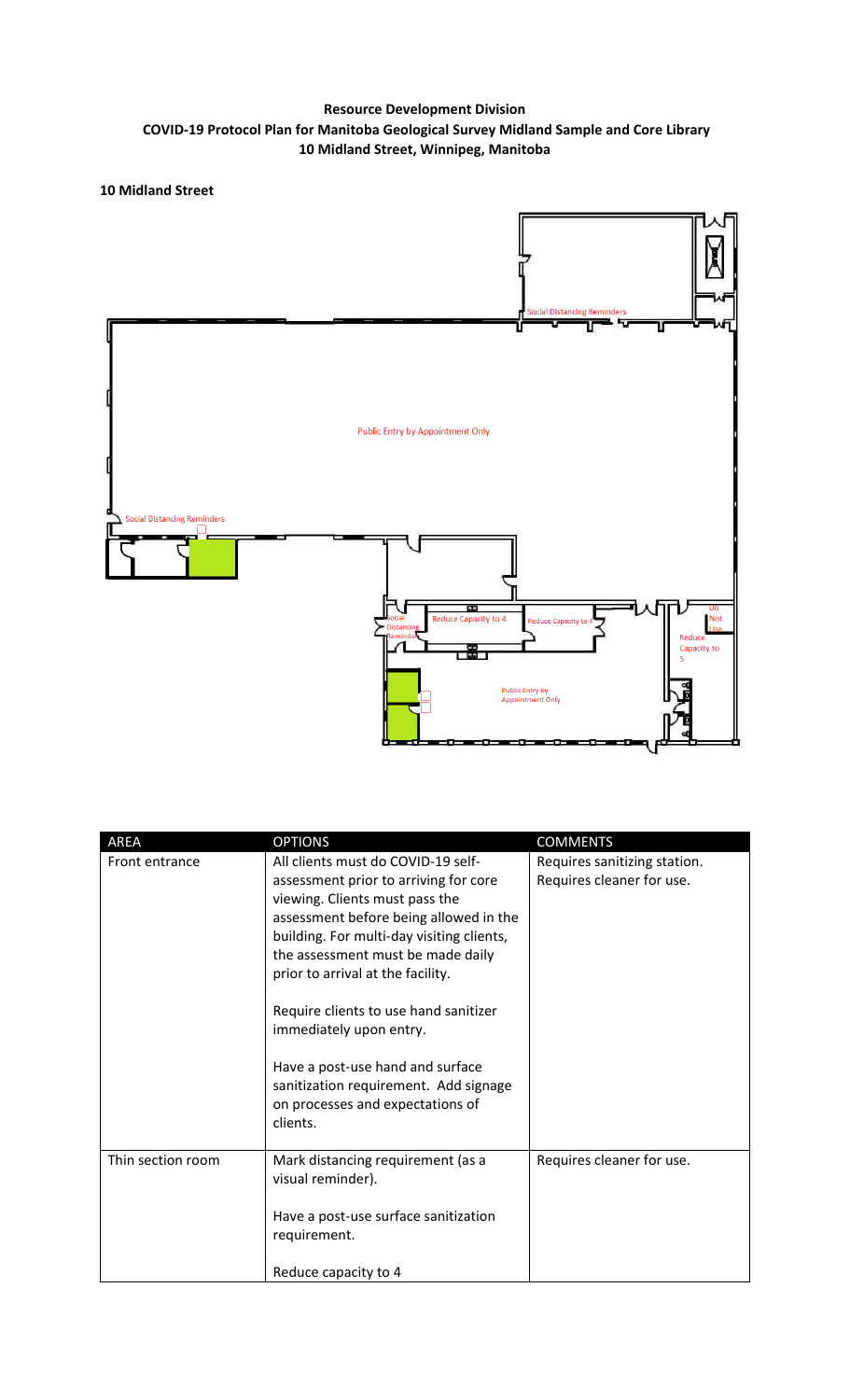## **Resource Development Division COVID‐19 Protocol Plan for Manitoba Geological Survey Midland Sample and Core Library 10 Midland Street, Winnipeg, Manitoba**

## **10 Midland Street**



| AREA              | <b>OPTIONS</b>                                                                                                                                                                                                                                                                                                                                                                                                                                                                  | <b>COMMENTS</b>                                           |
|-------------------|---------------------------------------------------------------------------------------------------------------------------------------------------------------------------------------------------------------------------------------------------------------------------------------------------------------------------------------------------------------------------------------------------------------------------------------------------------------------------------|-----------------------------------------------------------|
| Front entrance    | All clients must do COVID-19 self-<br>assessment prior to arriving for core<br>viewing. Clients must pass the<br>assessment before being allowed in the<br>building. For multi-day visiting clients,<br>the assessment must be made daily<br>prior to arrival at the facility.<br>Require clients to use hand sanitizer<br>immediately upon entry.<br>Have a post-use hand and surface<br>sanitization requirement. Add signage<br>on processes and expectations of<br>clients. | Requires sanitizing station.<br>Requires cleaner for use. |
| Thin section room | Mark distancing requirement (as a<br>visual reminder).<br>Have a post-use surface sanitization<br>requirement.<br>Reduce capacity to 4                                                                                                                                                                                                                                                                                                                                          | Requires cleaner for use.                                 |